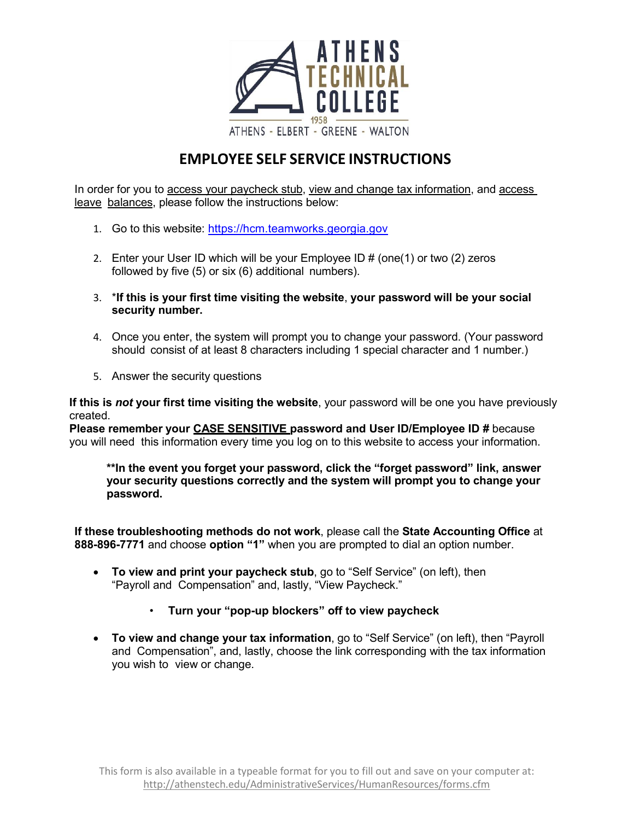

## **EMPLOYEE SELF SERVICE INSTRUCTIONS**

In order for you to access your paycheck stub, view and change tax information, and access leave balances, please follow the instructions below:

- 1. Go to this website: [https://hcm.teamworks.georgia.gov](https://hcm.teamworks.georgia.gov/)
- 2. Enter your User ID which will be your Employee ID # (one(1) or two (2) zeros followed by five (5) or six (6) additional numbers).
- 3. \***If this is your first time visiting the website**, **your password will be your social security number.**
- 4. Once you enter, the system will prompt you to change your password. (Your password should consist of at least 8 characters including 1 special character and 1 number.)
- 5. Answer the security questions

**If this is** *not* **your first time visiting the website**, your password will be one you have previously created.

**Please remember your CASE SENSITIVE password and User ID/Employee ID #** because you will need this information every time you log on to this website to access your information.

**\*\*In the event you forget your password, click the "forget password" link, answer your security questions correctly and the system will prompt you to change your password.**

**If these troubleshooting methods do not work**, please call the **State Accounting Office** at **888-896-7771** and choose **option "1"** when you are prompted to dial an option number.

- **To view and print your paycheck stub**, go to "Self Service" (on left), then "Payroll and Compensation" and, lastly, "View Paycheck."
	- **Turn your "pop-up blockers" off to view paycheck**
- **To view and change your tax information**, go to "Self Service" (on left), then "Payroll and Compensation", and, lastly, choose the link corresponding with the tax information you wish to view or change.